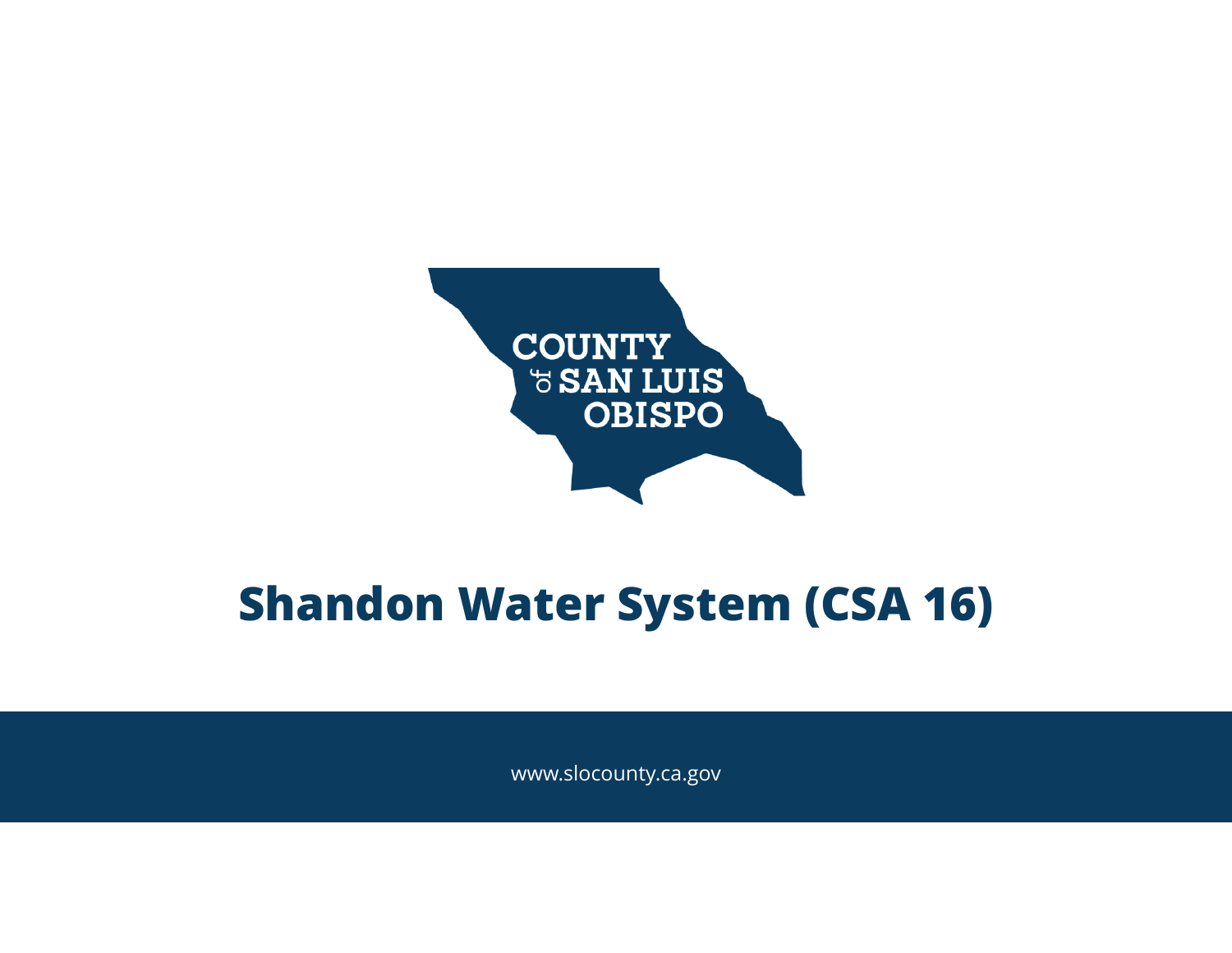

#### **Shandon Water System (CSA 16)**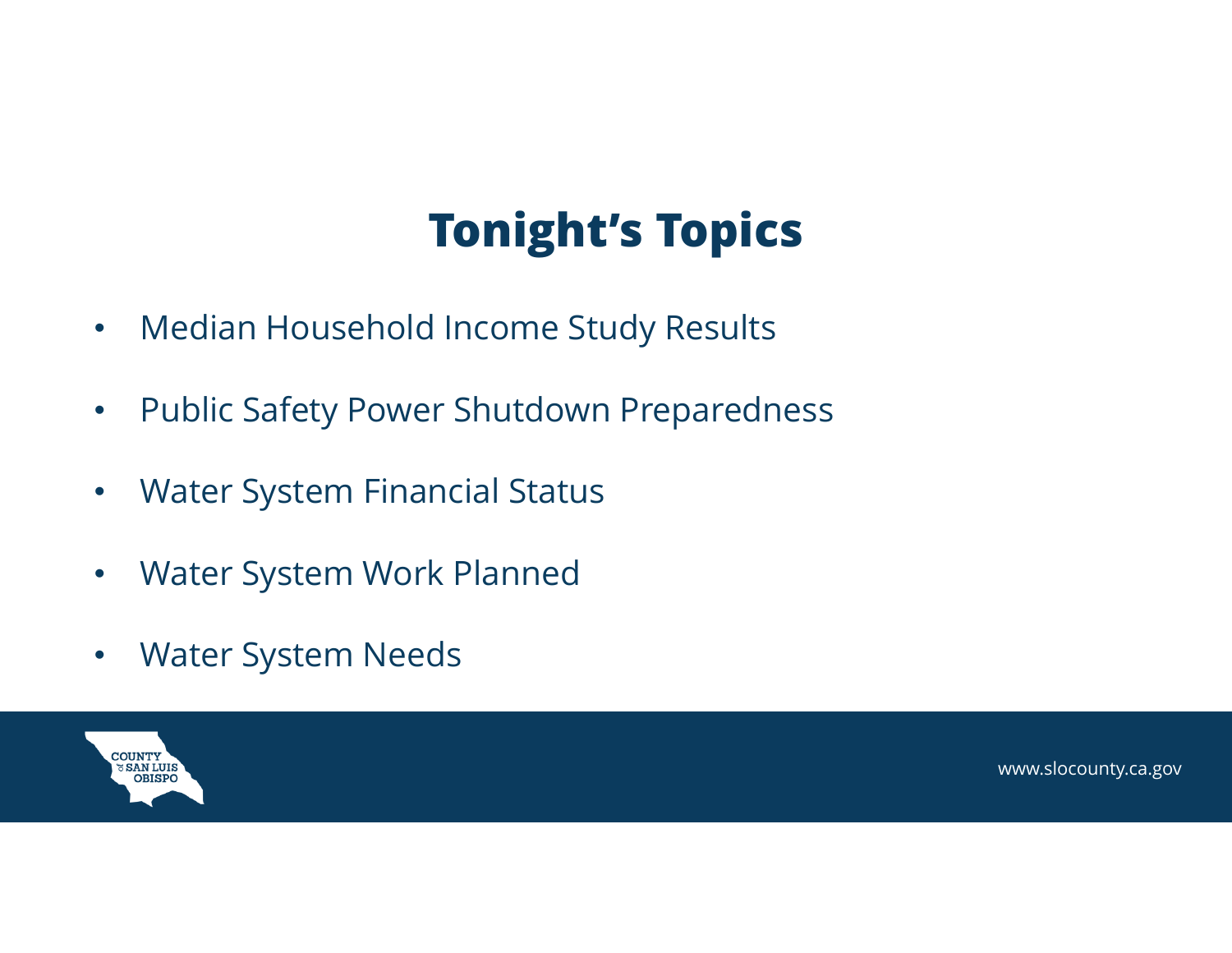# **Tonight's Topics**

- •Median Household Income Study Results
- $\bullet$ Public Safety Power Shutdown Preparedness
- $\bullet$ Water System Financial Status
- •Water System Work Planned
- $\bullet$ Water System Needs

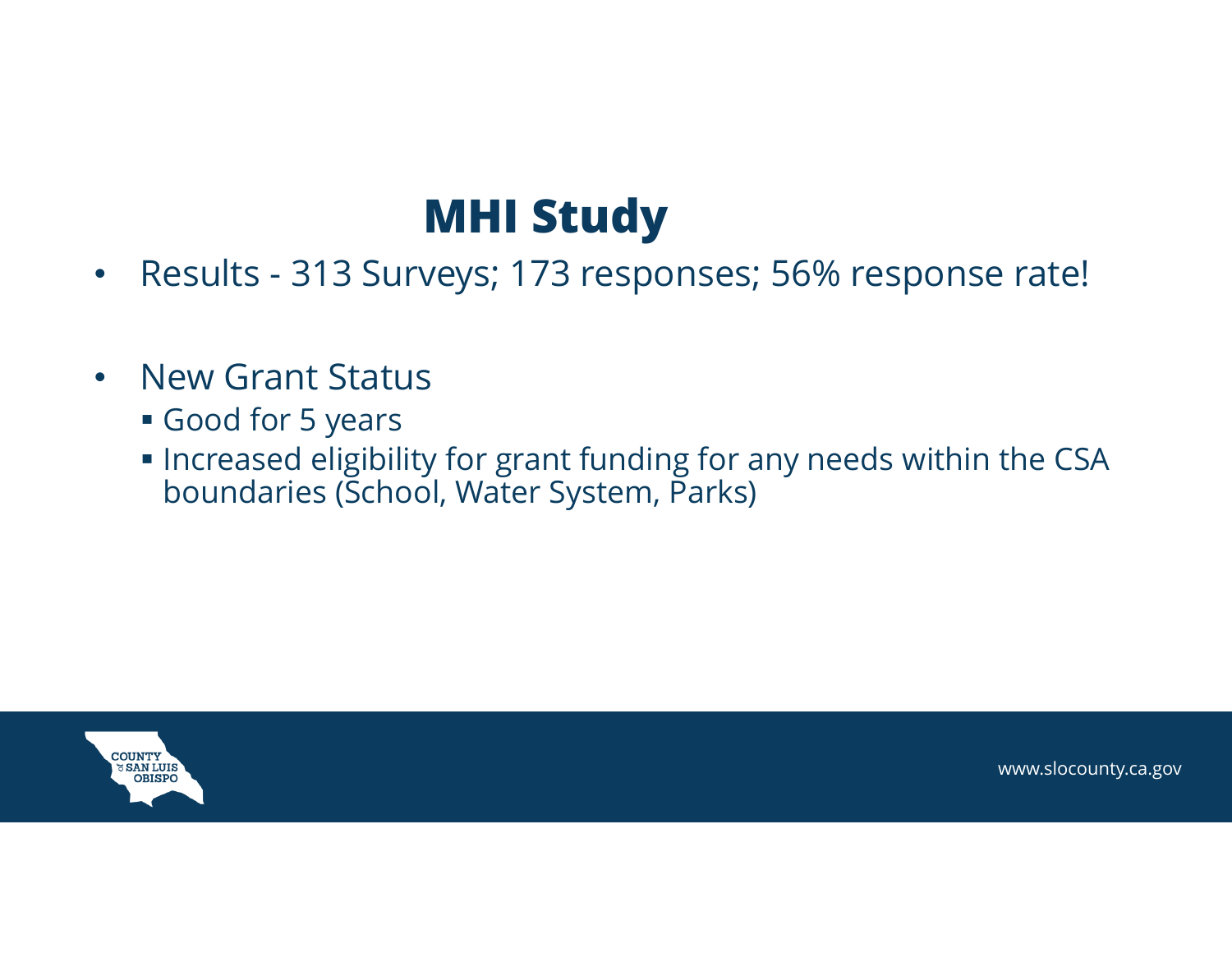#### **MHI Study**

- $\bullet$ Results - 313 Surveys; 173 responses; 56% response rate!
- $\bullet$  New Grant Status
	- Good for 5 years
	- $\blacksquare$  Increased eligibility for grant funding for any needs within the CSA boundaries (School, Water System, Parks)

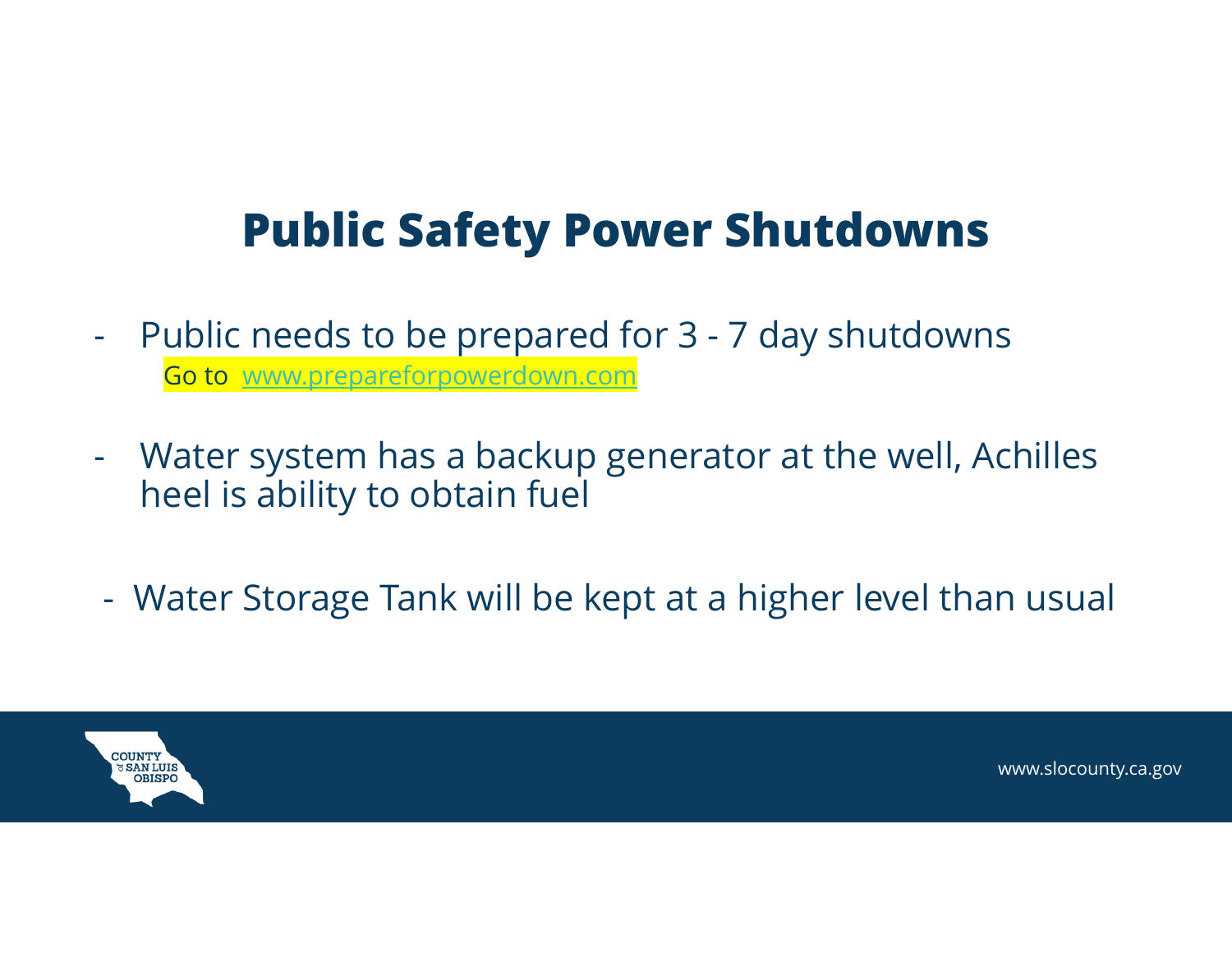### **Public Safety Power Shutdowns**

- - Public needs to be prepared for 3 - 7 day shutdowns Go to www.prepareforpowerdown.com
- - Water system has a backup generator at the well, Achilles heel is ability to obtain fuel
- Water Storage Tank will be kept at a higher level than usual

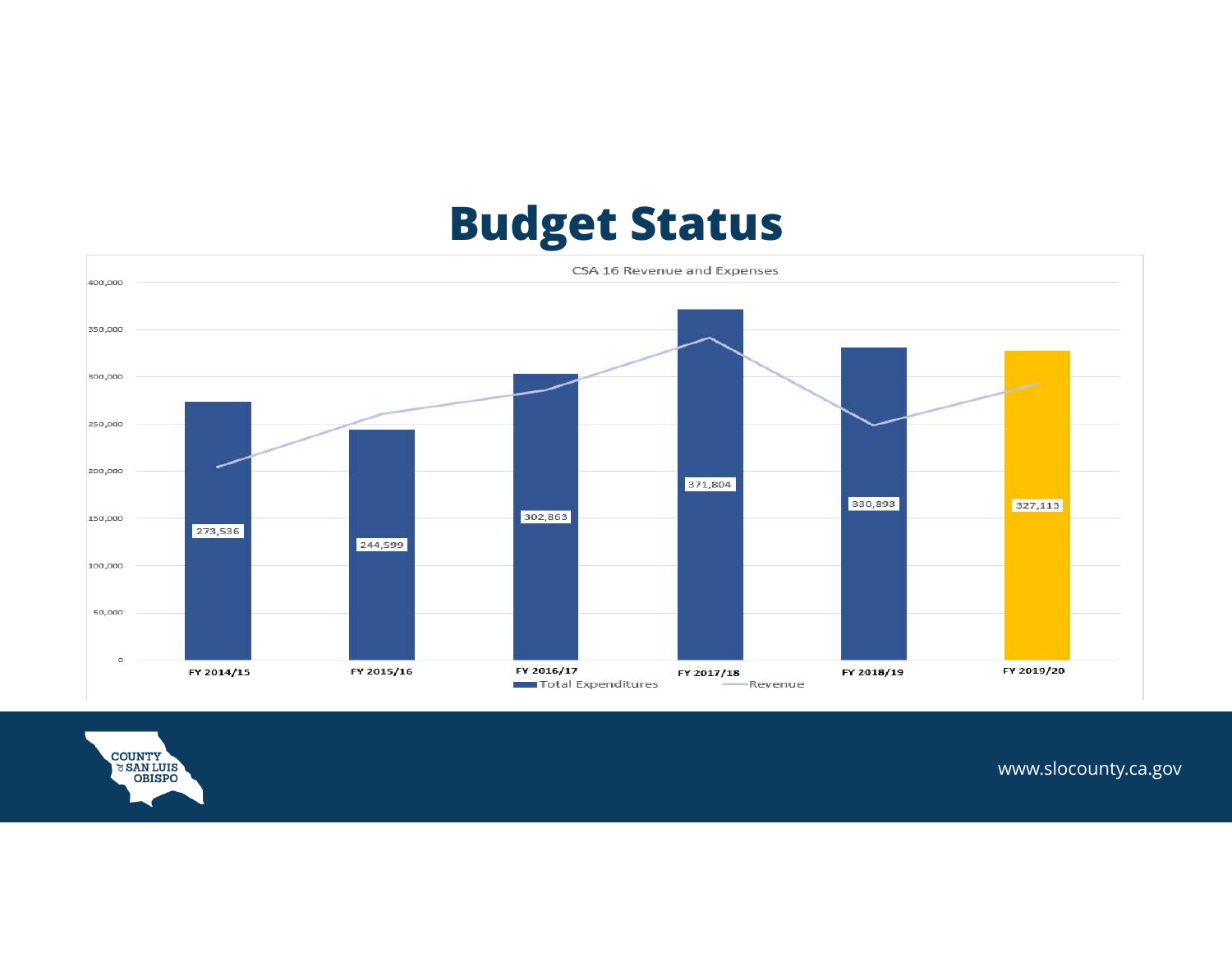## **Budget Status**



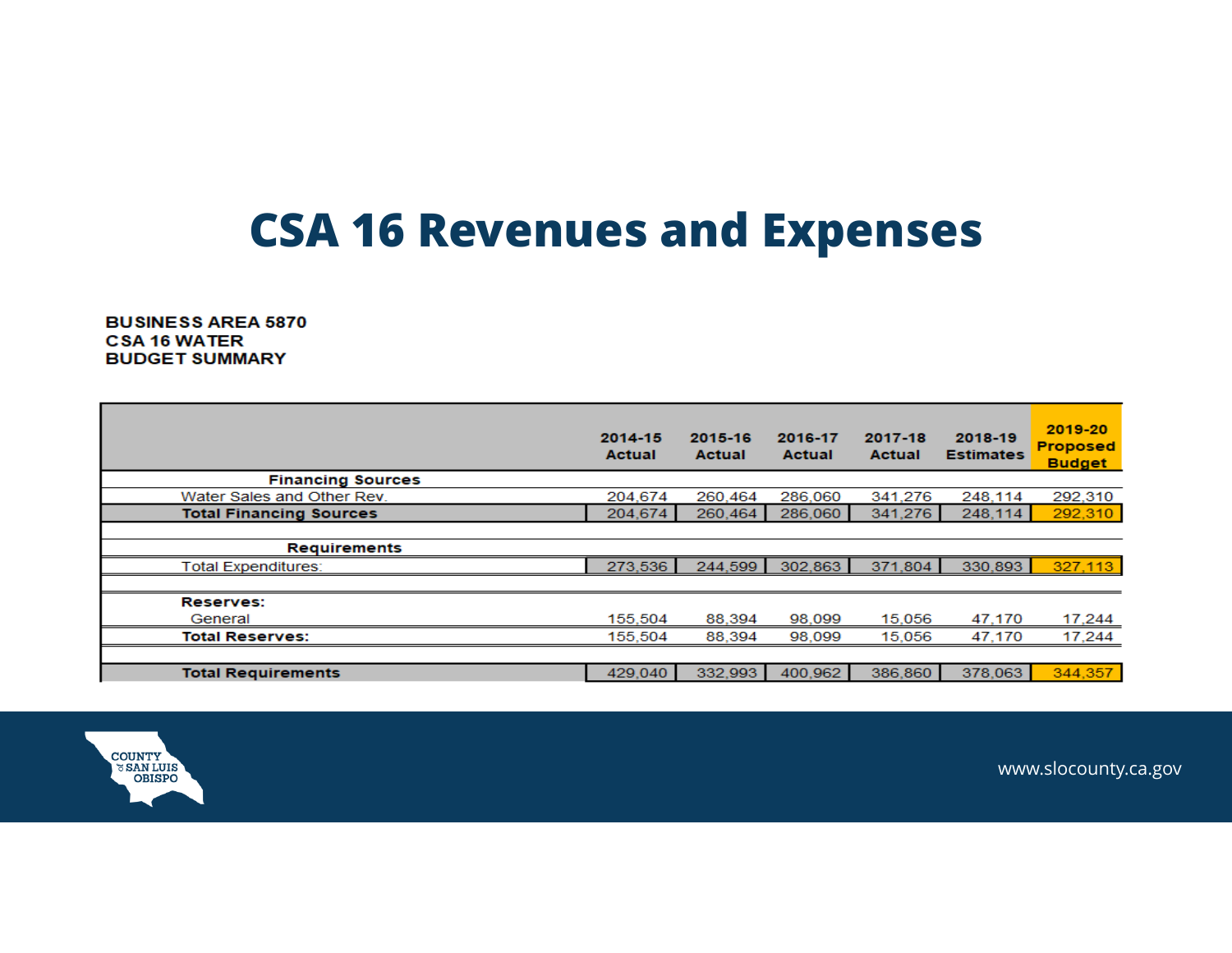### **CSA 16 Revenues and Expenses**

**BUSINESS AREA 5870 CSA 16 WATER BUDGET SUMMARY** 

|                                | 2014-15<br><b>Actual</b> | 2015-16<br><b>Actual</b> | 2016-17<br><b>Actual</b> | 2017-18<br><b>Actual</b> | 2018-19<br><b>Estimates</b> | 2019-20<br><b>Proposed</b><br><b>Budget</b> |
|--------------------------------|--------------------------|--------------------------|--------------------------|--------------------------|-----------------------------|---------------------------------------------|
| <b>Financing Sources</b>       |                          |                          |                          |                          |                             |                                             |
| Water Sales and Other Rev.     | 204.674                  | 260.464                  | 286,060                  | 341.276                  | 248.114                     | 292,310                                     |
| <b>Total Financing Sources</b> | 204.674                  | 260,464                  | 286,060                  | 341.276                  | 248,114                     | 292,310                                     |
|                                |                          |                          |                          |                          |                             |                                             |
| <b>Requirements</b>            |                          |                          |                          |                          |                             |                                             |
| <b>Total Expenditures:</b>     | 273,536                  | 244,599                  | 302,863                  | 371,804                  | 330,893                     | 327,113                                     |
|                                |                          |                          |                          |                          |                             |                                             |
| <b>Reserves:</b>               |                          |                          |                          |                          |                             |                                             |
| General                        | 155,504                  | 88,394                   | 98.099                   | 15,056                   | 47,170                      | 17,244                                      |
| <b>Total Reserves:</b>         | 155,504                  | 88,394                   | 98,099                   | 15,056                   | 47,170                      | 17,244                                      |
|                                |                          |                          |                          |                          |                             |                                             |
| <b>Total Requirements</b>      | 429,040                  | 332.993                  | 400.962                  | 386,860                  | 378,063                     | 344,357                                     |

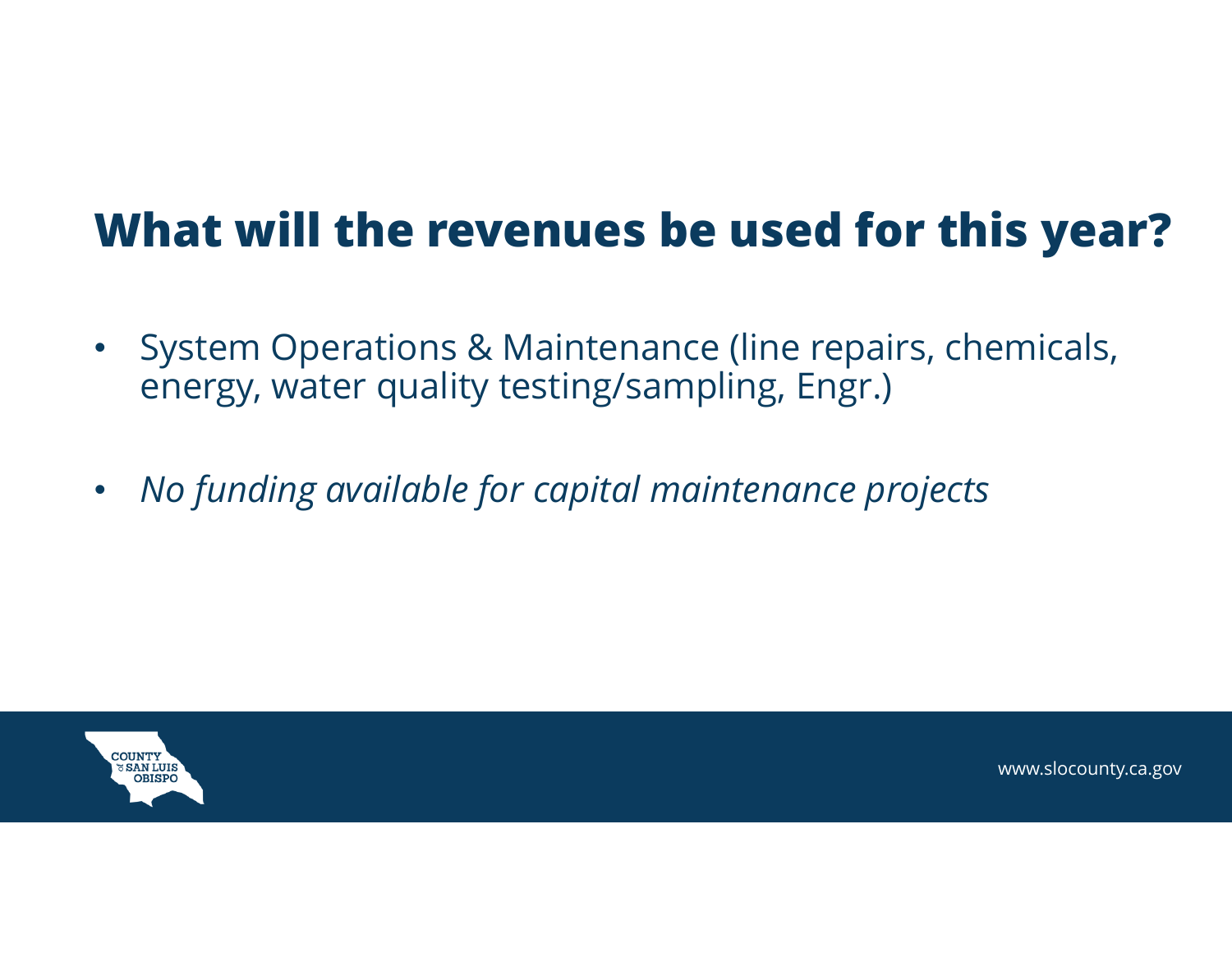### **What will the revenues be used for this year?**

- $\bullet$  System Operations & Maintenance (line repairs, chemicals, energy, water quality testing/sampling, Engr.)
- $\bullet$ *No funding available for capital maintenance projects*

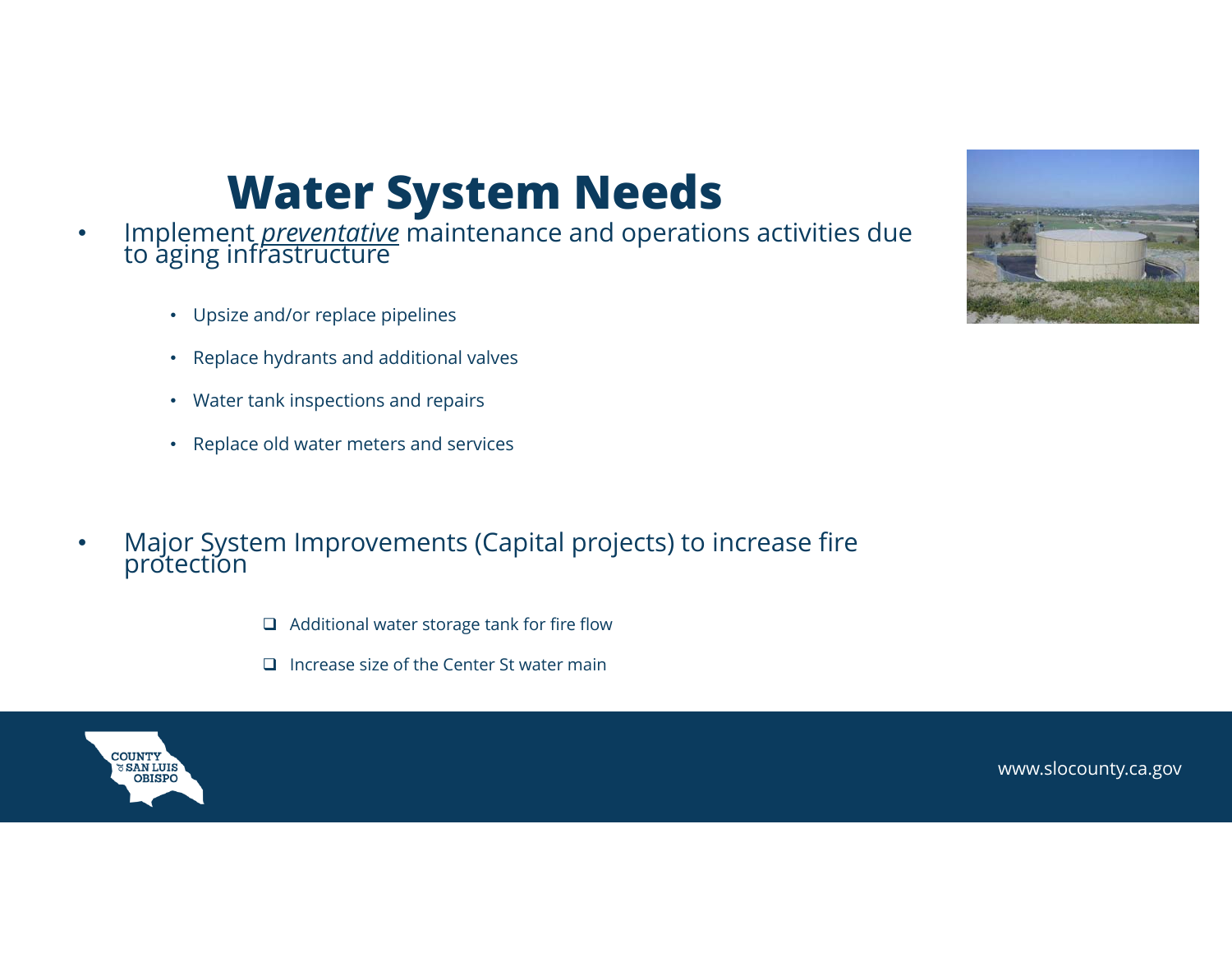#### **Water System Needs**

- • Implement *preventative* maintenance and operations activities due to aging infrastructure
	- Upsize and/or replace pipelines
	- Replace hydrants and additional valves
	- Water tank inspections and repairs
	- Replace old water meters and services
- • Major System Improvements (Capital projects) to increase fire protection
	- $\Box$  Additional water storage tank for fire flow
	- $\Box$  Increase size of the Center St water main



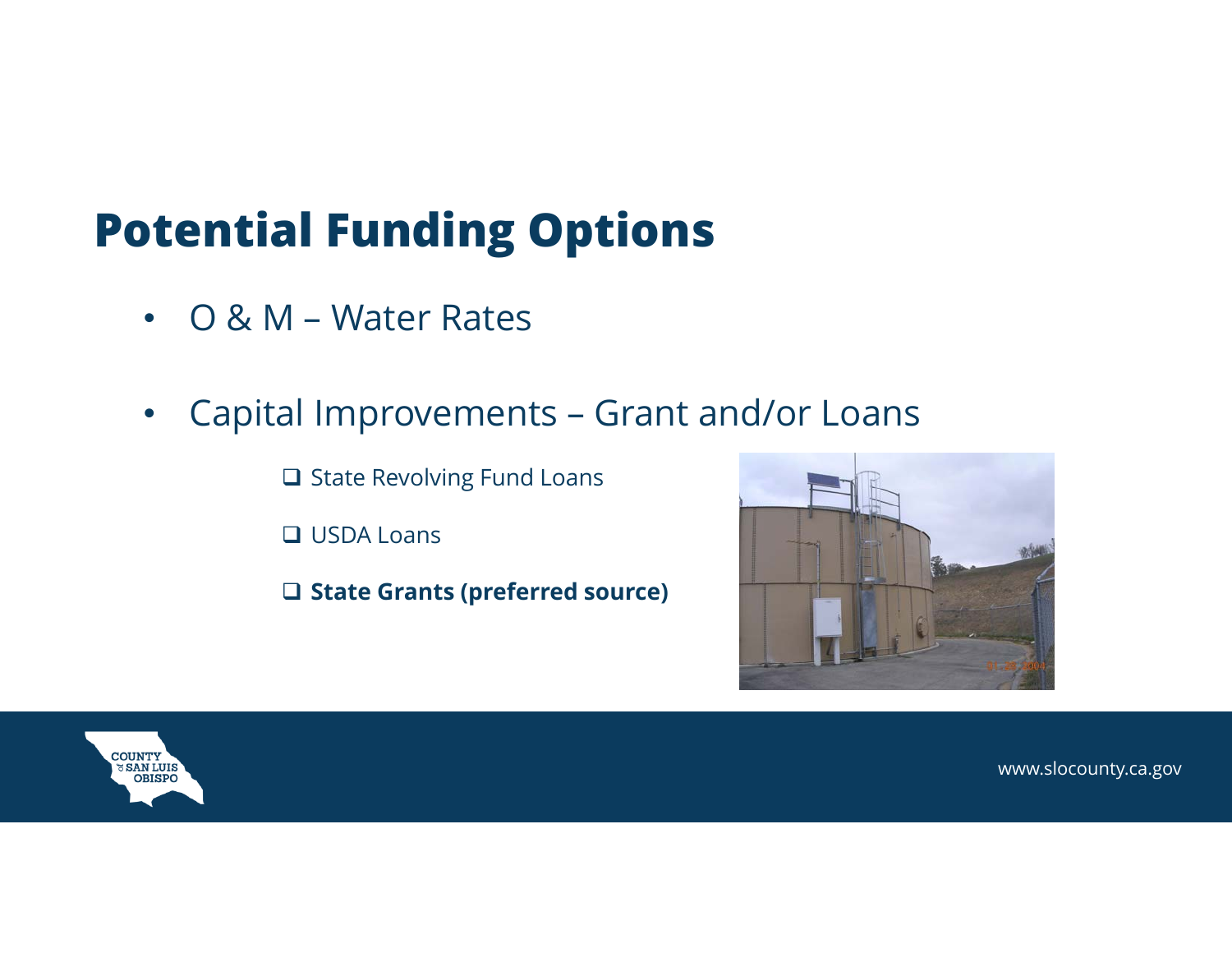### **Potential Funding Options**

- O & M Water Rates
- • Capital Improvements – Grant and/or Loans
	- **□ State Revolving Fund Loans**
	- **□ USDA Loans**
	- **State Grants (preferred source)**



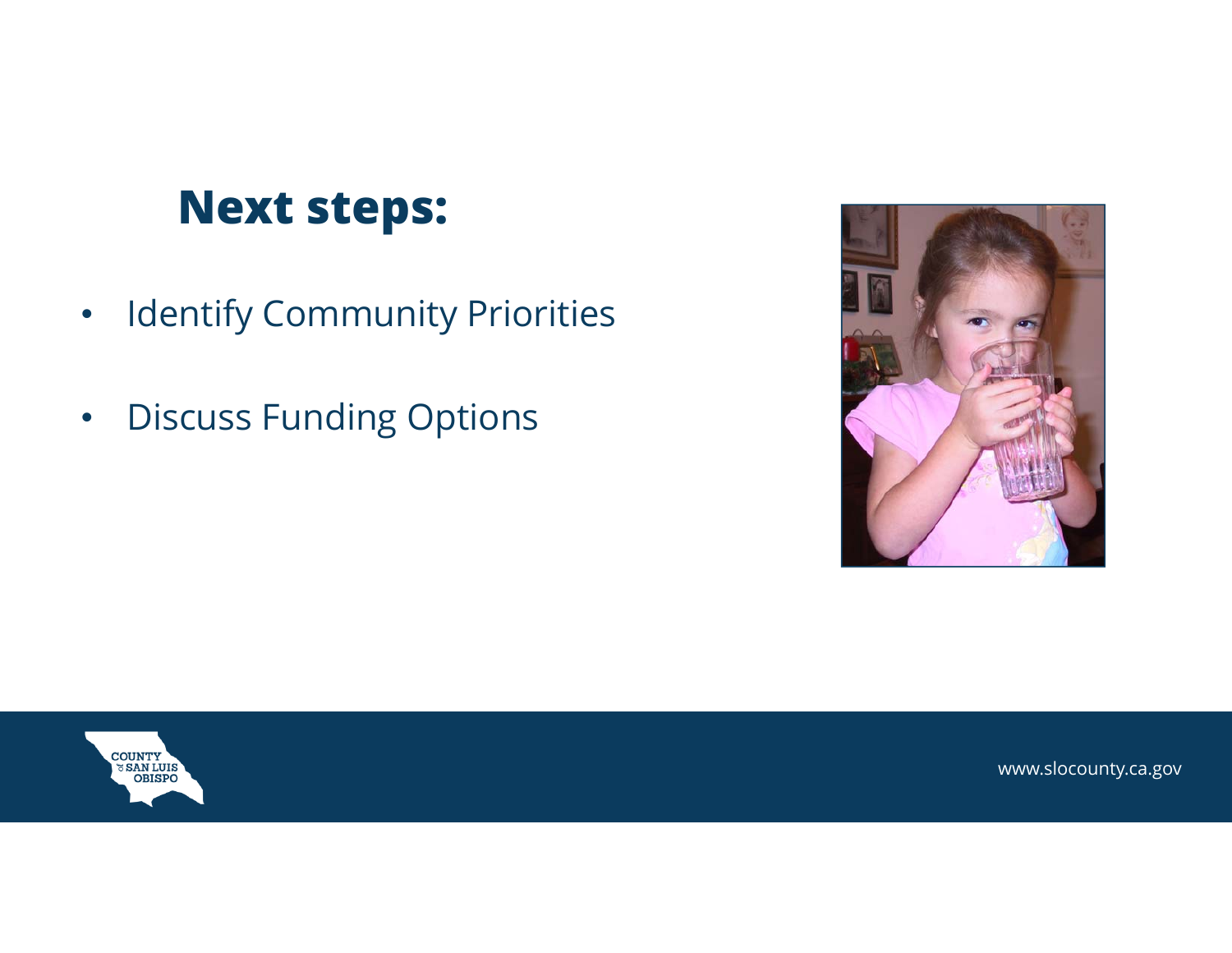### **Next steps:**

- $\bullet$ Identify Community Priorities
- $\bullet$ Discuss Funding Options